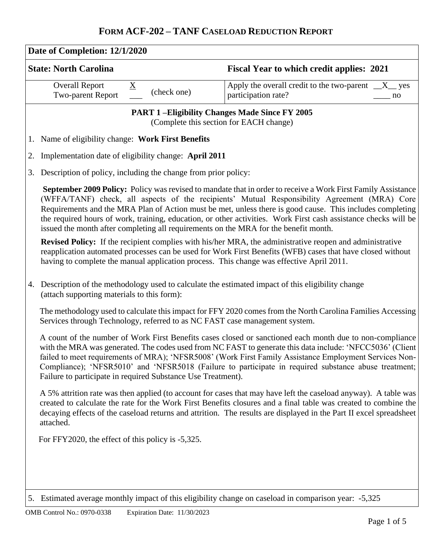| Date of Completion: 12/1/2020<br><b>State: North Carolina</b>                                                                                                                                                                                                                                                                                                         | <b>Fiscal Year to which credit applies: 2021</b>                                                                                                                                                                                                                                                                                                                                                                                                                                                        |  |  |  |  |  |  |  |  |
|-----------------------------------------------------------------------------------------------------------------------------------------------------------------------------------------------------------------------------------------------------------------------------------------------------------------------------------------------------------------------|---------------------------------------------------------------------------------------------------------------------------------------------------------------------------------------------------------------------------------------------------------------------------------------------------------------------------------------------------------------------------------------------------------------------------------------------------------------------------------------------------------|--|--|--|--|--|--|--|--|
| <b>Overall Report</b><br>$\underline{X}$<br>(check one)<br>Two-parent Report                                                                                                                                                                                                                                                                                          | Apply the overall credit to the two-parent $X_{\text{max}}$ yes<br>participation rate?<br>no                                                                                                                                                                                                                                                                                                                                                                                                            |  |  |  |  |  |  |  |  |
|                                                                                                                                                                                                                                                                                                                                                                       | <b>PART 1-Eligibility Changes Made Since FY 2005</b><br>(Complete this section for EACH change)                                                                                                                                                                                                                                                                                                                                                                                                         |  |  |  |  |  |  |  |  |
| 1. Name of eligibility change: Work First Benefits                                                                                                                                                                                                                                                                                                                    |                                                                                                                                                                                                                                                                                                                                                                                                                                                                                                         |  |  |  |  |  |  |  |  |
| Implementation date of eligibility change: April 2011<br>2.                                                                                                                                                                                                                                                                                                           |                                                                                                                                                                                                                                                                                                                                                                                                                                                                                                         |  |  |  |  |  |  |  |  |
| Description of policy, including the change from prior policy:<br>3.                                                                                                                                                                                                                                                                                                  |                                                                                                                                                                                                                                                                                                                                                                                                                                                                                                         |  |  |  |  |  |  |  |  |
| issued the month after completing all requirements on the MRA for the benefit month.                                                                                                                                                                                                                                                                                  | September 2009 Policy: Policy was revised to mandate that in order to receive a Work First Family Assistance<br>(WFFA/TANF) check, all aspects of the recipients' Mutual Responsibility Agreement (MRA) Core<br>Requirements and the MRA Plan of Action must be met, unless there is good cause. This includes completing<br>the required hours of work, training, education, or other activities. Work First cash assistance checks will be                                                            |  |  |  |  |  |  |  |  |
| having to complete the manual application process. This change was effective April 2011.                                                                                                                                                                                                                                                                              | <b>Revised Policy:</b> If the recipient complies with his/her MRA, the administrative reopen and administrative<br>reapplication automated processes can be used for Work First Benefits (WFB) cases that have closed without                                                                                                                                                                                                                                                                           |  |  |  |  |  |  |  |  |
| 4.<br>(attach supporting materials to this form):                                                                                                                                                                                                                                                                                                                     | Description of the methodology used to calculate the estimated impact of this eligibility change                                                                                                                                                                                                                                                                                                                                                                                                        |  |  |  |  |  |  |  |  |
| Services through Technology, referred to as NC FAST case management system.                                                                                                                                                                                                                                                                                           | The methodology used to calculate this impact for FFY 2020 comes from the North Carolina Families Accessing                                                                                                                                                                                                                                                                                                                                                                                             |  |  |  |  |  |  |  |  |
|                                                                                                                                                                                                                                                                                                                                                                       | A count of the number of Work First Benefits cases closed or sanctioned each month due to non-compliance<br>with the MRA was generated. The codes used from NC FAST to generate this data include: 'NFCC5036' (Client<br>failed to meet requirements of MRA); 'NFSR5008' (Work First Family Assistance Employment Services Non-<br>Compliance); 'NFSR5010' and 'NFSR5018 (Failure to participate in required substance abuse treatment;<br>Failure to participate in required Substance Use Treatment). |  |  |  |  |  |  |  |  |
| A 5% attrition rate was then applied (to account for cases that may have left the caseload anyway). A table was<br>created to calculate the rate for the Work First Benefits closures and a final table was created to combine the<br>decaying effects of the caseload returns and attrition. The results are displayed in the Part II excel spreadsheet<br>attached. |                                                                                                                                                                                                                                                                                                                                                                                                                                                                                                         |  |  |  |  |  |  |  |  |
| For FFY2020, the effect of this policy is -5,325.                                                                                                                                                                                                                                                                                                                     |                                                                                                                                                                                                                                                                                                                                                                                                                                                                                                         |  |  |  |  |  |  |  |  |
|                                                                                                                                                                                                                                                                                                                                                                       |                                                                                                                                                                                                                                                                                                                                                                                                                                                                                                         |  |  |  |  |  |  |  |  |
|                                                                                                                                                                                                                                                                                                                                                                       | 5,325 . Estimated average monthly impact of this eligibility change on caseload in comparison year: -5,325                                                                                                                                                                                                                                                                                                                                                                                              |  |  |  |  |  |  |  |  |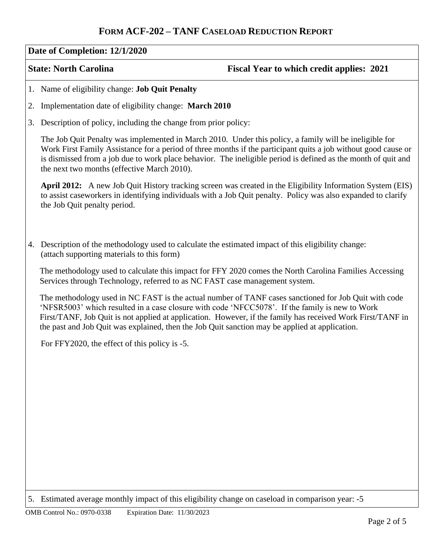#### **Date of Completion: 12/1/2020**

## **State: North Carolina Fiscal Year to which credit applies: 2021**

- 1. Name of eligibility change: **Job Quit Penalty**
- 2. Implementation date of eligibility change: **March 2010**
- 3. Description of policy, including the change from prior policy:

The Job Quit Penalty was implemented in March 2010. Under this policy, a family will be ineligible for Work First Family Assistance for a period of three months if the participant quits a job without good cause or is dismissed from a job due to work place behavior. The ineligible period is defined as the month of quit and the next two months (effective March 2010).

**April 2012:** A new Job Quit History tracking screen was created in the Eligibility Information System (EIS) to assist caseworkers in identifying individuals with a Job Quit penalty. Policy was also expanded to clarify the Job Quit penalty period.

4. Description of the methodology used to calculate the estimated impact of this eligibility change: (attach supporting materials to this form)

The methodology used to calculate this impact for FFY 2020 comes the North Carolina Families Accessing Services through Technology, referred to as NC FAST case management system.

The methodology used in NC FAST is the actual number of TANF cases sanctioned for Job Quit with code 'NFSR5003' which resulted in a case closure with code 'NFCC5078'. If the family is new to Work First/TANF, Job Quit is not applied at application. However, if the family has received Work First/TANF in the past and Job Quit was explained, then the Job Quit sanction may be applied at application.

For FFY2020, the effect of this policy is -5.

<sup>5.</sup> Estimated average monthly impact of this eligibility change on caseload in comparison year: -5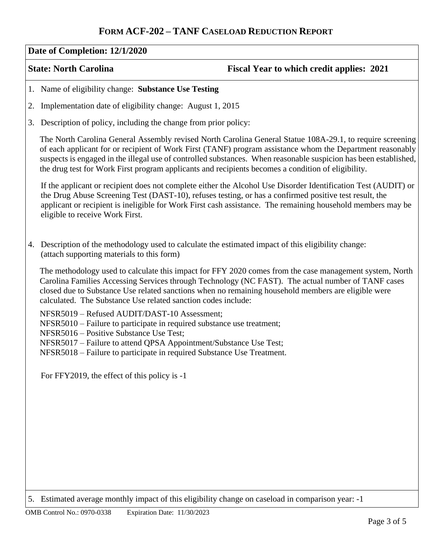#### **Date of Completion: 12/1/2020**

### **State: North Carolina Fiscal Year to which credit applies: 2021**

- 1. Name of eligibility change: **Substance Use Testing**
- 2. Implementation date of eligibility change: August 1, 2015
- 3. Description of policy, including the change from prior policy:

The North Carolina General Assembly revised North Carolina General Statue 108A-29.1, to require screening of each applicant for or recipient of Work First (TANF) program assistance whom the Department reasonably suspects is engaged in the illegal use of controlled substances. When reasonable suspicion has been established, the drug test for Work First program applicants and recipients becomes a condition of eligibility.

If the applicant or recipient does not complete either the Alcohol Use Disorder Identification Test (AUDIT) or the Drug Abuse Screening Test (DAST-10), refuses testing, or has a confirmed positive test result, the applicant or recipient is ineligible for Work First cash assistance. The remaining household members may be eligible to receive Work First.

4. Description of the methodology used to calculate the estimated impact of this eligibility change: (attach supporting materials to this form)

The methodology used to calculate this impact for FFY 2020 comes from the case management system, North Carolina Families Accessing Services through Technology (NC FAST). The actual number of TANF cases closed due to Substance Use related sanctions when no remaining household members are eligible were calculated. The Substance Use related sanction codes include:

NFSR5019 – Refused AUDIT/DAST-10 Assessment;

- NFSR5010 Failure to participate in required substance use treatment;
- NFSR5016 Positive Substance Use Test;

NFSR5017 – Failure to attend QPSA Appointment/Substance Use Test;

NFSR5018 – Failure to participate in required Substance Use Treatment.

For FFY2019, the effect of this policy is -1

<sup>5.</sup> Estimated average monthly impact of this eligibility change on caseload in comparison year: -1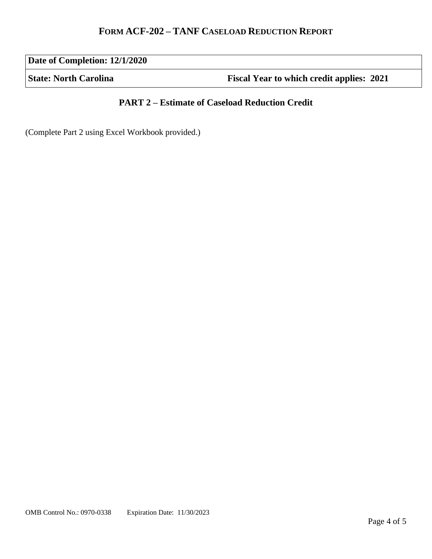**Date of Completion: 12/1/2020**

**State: North Carolina Fiscal Year to which credit applies: 2021** 

## **PART 2 – Estimate of Caseload Reduction Credit**

(Complete Part 2 using Excel Workbook provided.)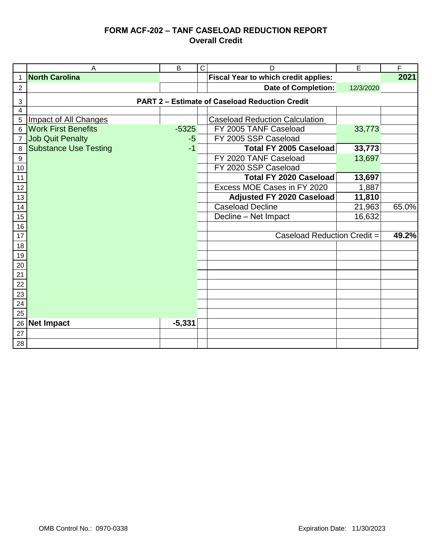## **FORM ACF-202 – TANF CASELOAD REDUCTION REPORT Overall Credit**

|                  | $\overline{A}$               | B        | $\mathsf{C}$ | D                                                     | E         | F     |  |
|------------------|------------------------------|----------|--------------|-------------------------------------------------------|-----------|-------|--|
| $\mathbf{1}$     | <b>North Carolina</b>        |          |              | <b>Fiscal Year to which credit applies:</b>           |           | 2021  |  |
| $\overline{2}$   |                              |          |              | <b>Date of Completion:</b>                            | 12/3/2020 |       |  |
| 3                |                              |          |              | <b>PART 2 - Estimate of Caseload Reduction Credit</b> |           |       |  |
| $\overline{4}$   |                              |          |              |                                                       |           |       |  |
| 5                | <b>Impact of All Changes</b> |          |              | <b>Caseload Reduction Calculation</b>                 |           |       |  |
| 6                | <b>Work First Benefits</b>   | $-5325$  |              | FY 2005 TANF Caseload                                 | 33,773    |       |  |
| 7                | <b>Job Quit Penalty</b>      | $-5$     |              | FY 2005 SSP Caseload                                  |           |       |  |
| 8                | <b>Substance Use Testing</b> | $-1$     |              | Total FY 2005 Caseload                                | 33,773    |       |  |
| $\boldsymbol{9}$ |                              |          |              | FY 2020 TANF Caseload                                 | 13,697    |       |  |
| $10$             |                              |          |              | FY 2020 SSP Caseload                                  |           |       |  |
| 11               |                              |          |              | Total FY 2020 Caseload                                | 13,697    |       |  |
| 12               |                              |          |              | Excess MOE Cases in FY 2020                           | 1,887     |       |  |
| 13               |                              |          |              | <b>Adjusted FY 2020 Caseload</b>                      | 11,810    |       |  |
| 14               |                              |          |              | <b>Caseload Decline</b>                               | 21,963    | 65.0% |  |
| $15\,$           |                              |          |              | Decline - Net Impact                                  | 16,632    |       |  |
| 16               |                              |          |              |                                                       |           |       |  |
| 17               |                              |          |              | Caseload Reduction Credit =                           |           | 49.2% |  |
| $18$             |                              |          |              |                                                       |           |       |  |
| $19$             |                              |          |              |                                                       |           |       |  |
| $20\,$           |                              |          |              |                                                       |           |       |  |
| 21               |                              |          |              |                                                       |           |       |  |
| $22\,$           |                              |          |              |                                                       |           |       |  |
| 23               |                              |          |              |                                                       |           |       |  |
| 24               |                              |          |              |                                                       |           |       |  |
| 25               |                              |          |              |                                                       |           |       |  |
| 26               | <b>Net Impact</b>            | $-5,331$ |              |                                                       |           |       |  |
| 27               |                              |          |              |                                                       |           |       |  |
| 28               |                              |          |              |                                                       |           |       |  |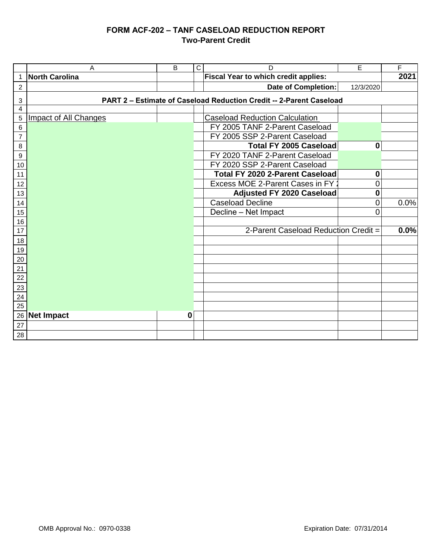## **FORM ACF-202 – TANF CASELOAD REDUCTION REPORT Two-Parent Credit**

|                | Α                                                                   | B           | C | D                                           | E                | F    |  |  |  |  |
|----------------|---------------------------------------------------------------------|-------------|---|---------------------------------------------|------------------|------|--|--|--|--|
| $\mathbf 1$    | <b>North Carolina</b>                                               |             |   | <b>Fiscal Year to which credit applies:</b> |                  | 2021 |  |  |  |  |
| $\overline{2}$ |                                                                     |             |   | <b>Date of Completion:</b>                  | 12/3/2020        |      |  |  |  |  |
| 3              | PART 2 - Estimate of Caseload Reduction Credit -- 2-Parent Caseload |             |   |                                             |                  |      |  |  |  |  |
| 4              |                                                                     |             |   |                                             |                  |      |  |  |  |  |
| $\sqrt{5}$     | <b>Impact of All Changes</b>                                        |             |   | <b>Caseload Reduction Calculation</b>       |                  |      |  |  |  |  |
| 6              |                                                                     |             |   | FY 2005 TANF 2-Parent Caseload              |                  |      |  |  |  |  |
| $\overline{7}$ |                                                                     |             |   | FY 2005 SSP 2-Parent Caseload               |                  |      |  |  |  |  |
| 8              |                                                                     |             |   | Total FY 2005 Caseload                      | $\mathbf 0$      |      |  |  |  |  |
| 9              |                                                                     |             |   | FY 2020 TANF 2-Parent Caseload              |                  |      |  |  |  |  |
| 10             |                                                                     |             |   | FY 2020 SSP 2-Parent Caseload               |                  |      |  |  |  |  |
| 11             |                                                                     |             |   | <b>Total FY 2020 2-Parent Caseload</b>      | $\boldsymbol{0}$ |      |  |  |  |  |
| 12             |                                                                     |             |   | Excess MOE 2-Parent Cases in FY 2           | 0                |      |  |  |  |  |
| 13             |                                                                     |             |   | <b>Adjusted FY 2020 Caseload</b>            | 0                |      |  |  |  |  |
| 14             |                                                                     |             |   | <b>Caseload Decline</b>                     | 0                | 0.0% |  |  |  |  |
| 15             |                                                                     |             |   | Decline - Net Impact                        | $\Omega$         |      |  |  |  |  |
| 16             |                                                                     |             |   |                                             |                  |      |  |  |  |  |
| 17             |                                                                     |             |   | 2-Parent Caseload Reduction Credit =        |                  | 0.0% |  |  |  |  |
| 18             |                                                                     |             |   |                                             |                  |      |  |  |  |  |
| 19             |                                                                     |             |   |                                             |                  |      |  |  |  |  |
| 20             |                                                                     |             |   |                                             |                  |      |  |  |  |  |
| 21             |                                                                     |             |   |                                             |                  |      |  |  |  |  |
| 22             |                                                                     |             |   |                                             |                  |      |  |  |  |  |
| 23             |                                                                     |             |   |                                             |                  |      |  |  |  |  |
| 24             |                                                                     |             |   |                                             |                  |      |  |  |  |  |
| 25             |                                                                     | $\mathbf 0$ |   |                                             |                  |      |  |  |  |  |
| 26             | <b>Net Impact</b>                                                   |             |   |                                             |                  |      |  |  |  |  |
| 27             |                                                                     |             |   |                                             |                  |      |  |  |  |  |
| 28             |                                                                     |             |   |                                             |                  |      |  |  |  |  |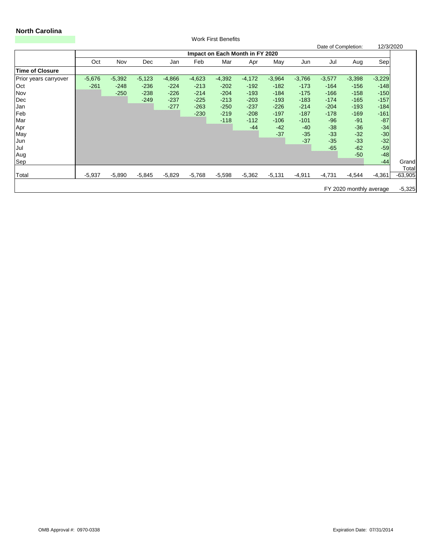# **North Carolina**

|                       |          |                                 |          |          |          | <b>Work First Benefits</b> |          |          |          |                     |                         |           |           |
|-----------------------|----------|---------------------------------|----------|----------|----------|----------------------------|----------|----------|----------|---------------------|-------------------------|-----------|-----------|
|                       |          |                                 |          |          |          |                            |          |          |          | Date of Completion: |                         | 12/3/2020 |           |
|                       |          | Impact on Each Month in FY 2020 |          |          |          |                            |          |          |          |                     |                         |           |           |
|                       | Oct      | Nov                             | Dec      | Jan      | Feb      | Mar                        | Apr      | May      | Jun      | Jul                 | Aug                     | Sep       |           |
| Time of Closure       |          |                                 |          |          |          |                            |          |          |          |                     |                         |           |           |
| Prior years carryover | $-5,676$ | $-5,392$                        | $-5,123$ | $-4,866$ | $-4,623$ | $-4,392$                   | $-4,172$ | $-3,964$ | $-3,766$ | $-3,577$            | $-3,398$                | $-3,229$  |           |
| Oct                   | $-261$   | $-248$                          | $-236$   | $-224$   | $-213$   | $-202$                     | $-192$   | $-182$   | $-173$   | $-164$              | $-156$                  | $-148$    |           |
| <b>Nov</b>            |          | $-250$                          | $-238$   | $-226$   | $-214$   | $-204$                     | $-193$   | $-184$   | $-175$   | $-166$              | $-158$                  | $-150$    |           |
| Dec                   |          |                                 | $-249$   | $-237$   | $-225$   | $-213$                     | $-203$   | $-193$   | $-183$   | $-174$              | $-165$                  | $-157$    |           |
| Jan                   |          |                                 |          | $-277$   | $-263$   | $-250$                     | $-237$   | $-226$   | $-214$   | $-204$              | $-193$                  | $-184$    |           |
| Feb                   |          |                                 |          |          | $-230$   | $-219$                     | $-208$   | $-197$   | $-187$   | $-178$              | $-169$                  | $-161$    |           |
| Mar                   |          |                                 |          |          |          | $-118$                     | $-112$   | $-106$   | $-101$   | $-96$               | $-91$                   | $-87$     |           |
| Apr                   |          |                                 |          |          |          |                            | $-44$    | $-42$    | $-40$    | $-38$               | $-36$                   | $-34$     |           |
| May                   |          |                                 |          |          |          |                            |          | $-37$    | $-35$    | $-33$               | $-32$                   | $-30$     |           |
| Jun                   |          |                                 |          |          |          |                            |          |          | $-37$    | $-35$               | $-33$                   | $-32$     |           |
| Jul                   |          |                                 |          |          |          |                            |          |          |          | $-65$               | $-62$                   | $-59$     |           |
| Aug                   |          |                                 |          |          |          |                            |          |          |          |                     | $-50$                   | $-48$     |           |
| Sep                   |          |                                 |          |          |          |                            |          |          |          |                     |                         | $-44$     | Grand     |
|                       |          |                                 |          |          |          |                            |          |          |          |                     |                         |           | Total     |
| Total                 | $-5,937$ | $-5,890$                        | $-5,845$ | $-5,829$ | $-5,768$ | $-5,598$                   | $-5,362$ | $-5,131$ | $-4,911$ | $-4,731$            | $-4,544$                | $-4,361$  | $-63,905$ |
|                       |          |                                 |          |          |          |                            |          |          |          |                     | FY 2020 monthly average |           | $-5,325$  |

OMB Approval #: 0970-0338 Expiration Date: 07/31/2014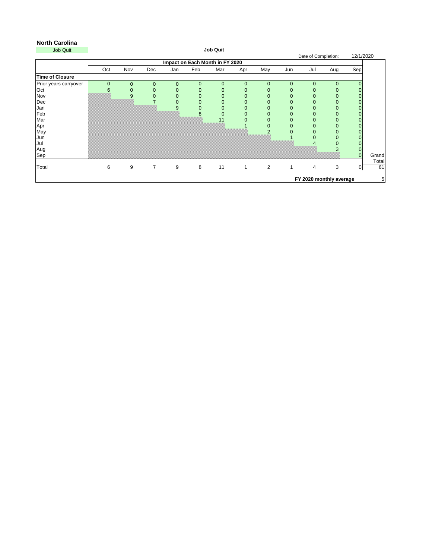| <b>Job Quit</b>        |             |                                 |                |                |                | <b>Job Quit</b> |                  |                |                |                     |                         |           |                |
|------------------------|-------------|---------------------------------|----------------|----------------|----------------|-----------------|------------------|----------------|----------------|---------------------|-------------------------|-----------|----------------|
|                        |             |                                 |                |                |                |                 |                  |                |                | Date of Completion: |                         | 12/1/2020 |                |
|                        |             | Impact on Each Month in FY 2020 |                |                |                |                 |                  |                |                |                     |                         |           |                |
|                        | Oct         | Nov                             | Dec            | Jan            | Feb            | Mar             | Apr              | May            | Jun            | Jul                 | Aug                     | Sep       |                |
| <b>Time of Closure</b> |             |                                 |                |                |                |                 |                  |                |                |                     |                         |           |                |
| Prior years carryover  | $\mathbf 0$ | $\mathbf{0}$                    | $\overline{0}$ | $\overline{0}$ | $\mathbf 0$    | $\overline{0}$  | $\theta$         | $\mathbf{0}$   | $\overline{0}$ | $\overline{0}$      | 0                       |           |                |
| Oct                    | 6           | 0                               | 0              |                | 0              | $\overline{0}$  | $\boldsymbol{0}$ | 0              | 0              |                     |                         |           |                |
| Nov                    |             | $\boldsymbol{9}$                |                |                | $\mathbf 0$    | $\overline{0}$  | $\mathbf 0$      | 0              | 0              |                     | 0                       |           |                |
| Dec                    |             |                                 |                |                | $\overline{0}$ | $\overline{0}$  | $\mathbf 0$      | 0              | $\overline{0}$ |                     | 0                       |           |                |
| Jan                    |             |                                 |                | 9              | 0              |                 | $\boldsymbol{0}$ | 0              | $\overline{0}$ |                     | 0                       |           |                |
| Feb                    |             |                                 |                |                | 8              |                 | $\mathbf 0$      | 0              | 0              |                     | 0                       | 0         |                |
| Mar                    |             |                                 |                |                |                | 11              |                  | 0              | 0              |                     | 0                       | 0         |                |
| Apr<br>May             |             |                                 |                |                |                |                 |                  | 0              | $\Omega$       |                     | 0                       |           |                |
|                        |             |                                 |                |                |                |                 |                  | ∩              |                |                     | 0                       |           |                |
| Jun                    |             |                                 |                |                |                |                 |                  |                |                |                     | 0                       |           |                |
| Jul                    |             |                                 |                |                |                |                 |                  |                |                |                     | 0                       |           |                |
| Aug                    |             |                                 |                |                |                |                 |                  |                |                |                     | 3                       | 0         |                |
| Sep                    |             |                                 |                |                |                |                 |                  |                |                |                     |                         | $\Omega$  | Grand          |
| Total                  | 6           | 9                               |                | 9              | 8              | 11              |                  | $\overline{2}$ |                | 4                   | 3                       | 0         | Total<br>61    |
|                        |             |                                 |                |                |                |                 |                  |                |                |                     |                         |           |                |
|                        |             |                                 |                |                |                |                 |                  |                |                |                     | FY 2020 monthly average |           | 5 <sup>1</sup> |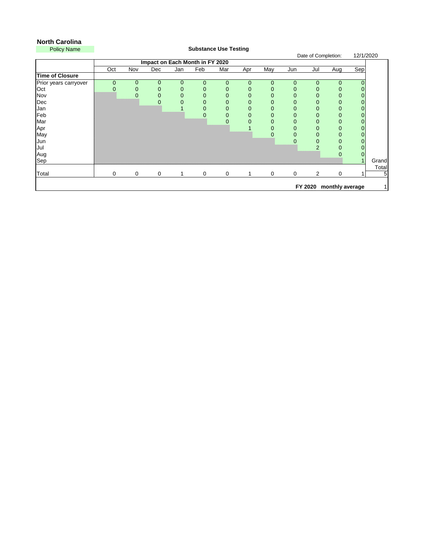## **North Carolina**

| <b>Policy Name</b>     |                |                |                                 |                | <b>Substance Use Testing</b> |                  |             |                |                |                     |                  |           |       |
|------------------------|----------------|----------------|---------------------------------|----------------|------------------------------|------------------|-------------|----------------|----------------|---------------------|------------------|-----------|-------|
|                        |                |                |                                 |                |                              |                  |             |                |                | Date of Completion: |                  | 12/1/2020 |       |
|                        |                |                | Impact on Each Month in FY 2020 |                |                              |                  |             |                |                |                     |                  |           |       |
|                        | Oct            | Nov            | <b>Dec</b>                      | Jan            | Feb                          | Mar              | Apr         | May            | Jun            | Jul                 | Aug              | Sep       |       |
| <b>Time of Closure</b> |                |                |                                 |                |                              |                  |             |                |                |                     |                  |           |       |
| Prior years carryover  | $\overline{0}$ | $\mathbf 0$    | $\mathbf 0$                     | $\mathbf 0$    | $\overline{0}$               | $\overline{0}$   | $\mathbf 0$ | $\theta$       | $\mathbf 0$    | $\overline{0}$      | $\mathbf{0}$     |           |       |
| Oct                    | 0              | 0              | $\boldsymbol{0}$                | 0              | 0                            | $\boldsymbol{0}$ | 0           | $\overline{0}$ | $\mathbf 0$    | $\mathbf 0$         | $\boldsymbol{0}$ |           |       |
| Nov                    |                | $\overline{0}$ | $\theta$                        | $\overline{0}$ | $\mathbf 0$                  | $\mathbf 0$      | 0           | $\overline{0}$ | $\overline{0}$ | $\overline{0}$      | $\theta$         |           |       |
| Dec                    |                |                | $\mathbf 0$                     | $\overline{0}$ | $\mathbf 0$                  | $\theta$         | 0           | $\mathbf 0$    | $\mathbf 0$    | $\boldsymbol{0}$    | $\theta$         |           |       |
| Jan                    |                |                |                                 |                | 0                            | $\boldsymbol{0}$ | 0           | 0              | $\mathbf 0$    | $\boldsymbol{0}$    | $\theta$         |           |       |
| Feb                    |                |                |                                 |                | $\overline{0}$               | $\mathbf 0$      | 0           | $\overline{0}$ | $\overline{0}$ | $\overline{0}$      | $\theta$         |           |       |
| Mar                    |                |                |                                 |                |                              | $\mathbf 0$      | 0           | $\mathbf 0$    | $\mathbf 0$    | $\mathbf{0}$        | $\theta$         |           |       |
| Apr                    |                |                |                                 |                |                              |                  |             | $\mathbf 0$    | $\mathbf 0$    | $\boldsymbol{0}$    | $\boldsymbol{0}$ |           |       |
| May                    |                |                |                                 |                |                              |                  |             | $\overline{0}$ | $\overline{0}$ | $\overline{0}$      | $\boldsymbol{0}$ |           |       |
| Jun                    |                |                |                                 |                |                              |                  |             |                | 0              | $\mathbf{0}$        | $\pmb{0}$        |           |       |
| Jul                    |                |                |                                 |                |                              |                  |             |                |                | $\overline{2}$      | $\boldsymbol{0}$ |           |       |
| Aug                    |                |                |                                 |                |                              |                  |             |                |                |                     | $\overline{0}$   |           |       |
| Sep                    |                |                |                                 |                |                              |                  |             |                |                |                     |                  |           | Grand |
|                        |                |                |                                 |                |                              |                  |             |                |                |                     |                  |           | Total |
| <b>Total</b>           | $\overline{0}$ | $\overline{0}$ | $\overline{0}$                  |                | $\mathbf 0$                  | $\mathbf 0$      |             | $\overline{0}$ | $\overline{0}$ | $\overline{2}$      | $\overline{0}$   |           | 5     |
|                        |                |                |                                 |                |                              |                  |             |                |                |                     |                  |           |       |
|                        |                |                |                                 |                |                              |                  |             |                |                | FY 2020             | monthly average  |           |       |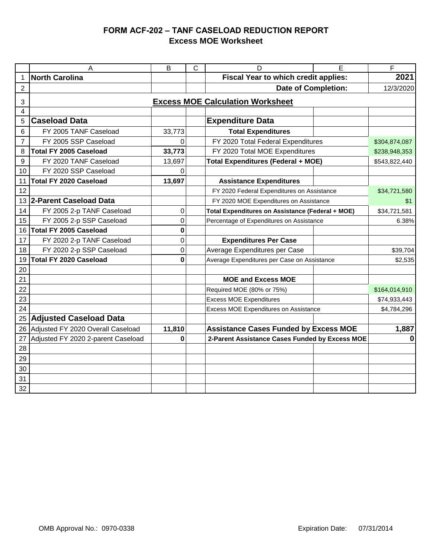## **FORM ACF-202 – TANF CASELOAD REDUCTION REPORT Excess MOE Worksheet**

|                                              | A                                  | B           | C | D                                                | E                       | F             |  |  |  |  |  |
|----------------------------------------------|------------------------------------|-------------|---|--------------------------------------------------|-------------------------|---------------|--|--|--|--|--|
| $\mathbf 1$                                  | <b>North Carolina</b>              |             |   | <b>Fiscal Year to which credit applies:</b>      |                         | 2021          |  |  |  |  |  |
| $\overline{2}$                               |                                    |             |   | <b>Date of Completion:</b>                       | 12/3/2020               |               |  |  |  |  |  |
| <b>Excess MOE Calculation Worksheet</b><br>3 |                                    |             |   |                                                  |                         |               |  |  |  |  |  |
| $\overline{4}$                               |                                    |             |   |                                                  |                         |               |  |  |  |  |  |
| 5                                            | <b>Caseload Data</b>               |             |   |                                                  | <b>Expenditure Data</b> |               |  |  |  |  |  |
| 6                                            | FY 2005 TANF Caseload              | 33,773      |   | <b>Total Expenditures</b>                        |                         |               |  |  |  |  |  |
| $\overline{7}$                               | FY 2005 SSP Caseload               | 0           |   | FY 2020 Total Federal Expenditures               |                         | \$304,874,087 |  |  |  |  |  |
| 8                                            | <b>Total FY 2005 Caseload</b>      | 33,773      |   | FY 2020 Total MOE Expenditures                   |                         | \$238,948,353 |  |  |  |  |  |
| 9                                            | FY 2020 TANF Caseload              | 13,697      |   | Total Expenditures (Federal + MOE)               |                         | \$543,822,440 |  |  |  |  |  |
| 10                                           | FY 2020 SSP Caseload               | 0           |   |                                                  |                         |               |  |  |  |  |  |
| 11                                           | <b>Total FY 2020 Caseload</b>      | 13,697      |   | <b>Assistance Expenditures</b>                   |                         |               |  |  |  |  |  |
| 12                                           |                                    |             |   | FY 2020 Federal Expenditures on Assistance       |                         | \$34,721,580  |  |  |  |  |  |
| 13                                           | 2-Parent Caseload Data             |             |   | FY 2020 MOE Expenditures on Assistance           | \$1                     |               |  |  |  |  |  |
| 14                                           | FY 2005 2-p TANF Caseload          | 0           |   | Total Expenditures on Assistance (Federal + MOE) | \$34,721,581            |               |  |  |  |  |  |
| 15                                           | FY 2005 2-p SSP Caseload           | 0           |   | Percentage of Expenditures on Assistance         |                         | 6.38%         |  |  |  |  |  |
| 16                                           | <b>Total FY 2005 Caseload</b>      | $\mathbf 0$ |   |                                                  |                         |               |  |  |  |  |  |
| 17                                           | FY 2020 2-p TANF Caseload          | 0           |   | <b>Expenditures Per Case</b>                     |                         |               |  |  |  |  |  |
| 18                                           | FY 2020 2-p SSP Caseload           | 0           |   | Average Expenditures per Case                    |                         | \$39,704      |  |  |  |  |  |
| 19                                           | <b>Total FY 2020 Caseload</b>      | 0           |   | Average Expenditures per Case on Assistance      |                         | \$2,535       |  |  |  |  |  |
| 20                                           |                                    |             |   |                                                  |                         |               |  |  |  |  |  |
| 21                                           |                                    |             |   | <b>MOE and Excess MOE</b>                        |                         |               |  |  |  |  |  |
| 22                                           |                                    |             |   | Required MOE (80% or 75%)                        |                         | \$164,014,910 |  |  |  |  |  |
| 23                                           |                                    |             |   | <b>Excess MOE Expenditures</b>                   |                         | \$74,933,443  |  |  |  |  |  |
| 24                                           |                                    |             |   | Excess MOE Expenditures on Assistance            |                         | \$4,784,296   |  |  |  |  |  |
| 25                                           | <b>Adjusted Caseload Data</b>      |             |   |                                                  |                         |               |  |  |  |  |  |
| 26                                           | Adjusted FY 2020 Overall Caseload  | 11,810      |   | <b>Assistance Cases Funded by Excess MOE</b>     | 1,887                   |               |  |  |  |  |  |
| 27                                           | Adjusted FY 2020 2-parent Caseload | 0           |   | 2-Parent Assistance Cases Funded by Excess MOE   | 0                       |               |  |  |  |  |  |
| 28                                           |                                    |             |   |                                                  |                         |               |  |  |  |  |  |
| 29                                           |                                    |             |   |                                                  |                         |               |  |  |  |  |  |
| 30                                           |                                    |             |   |                                                  |                         |               |  |  |  |  |  |
| 31                                           |                                    |             |   |                                                  |                         |               |  |  |  |  |  |
| 32                                           |                                    |             |   |                                                  |                         |               |  |  |  |  |  |